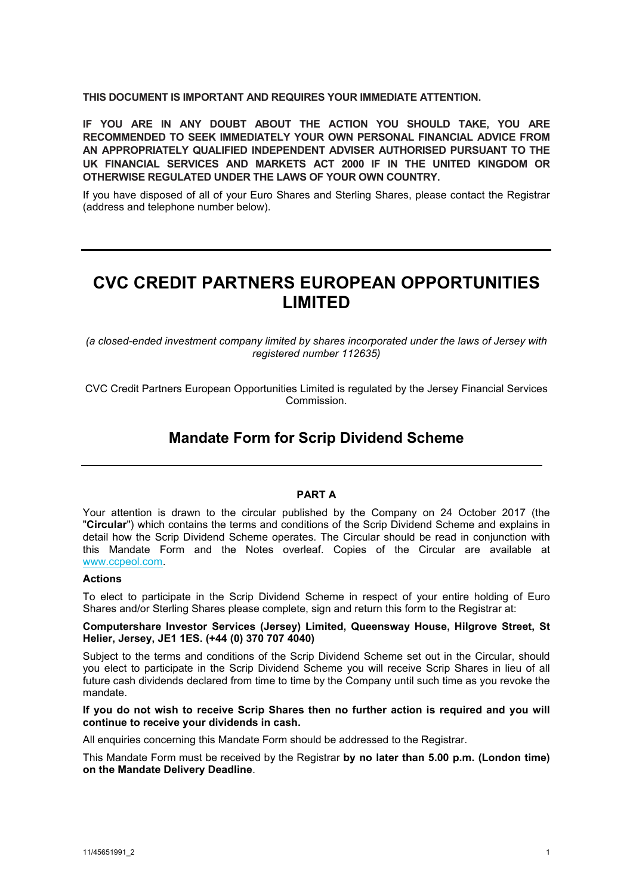**THIS DOCUMENT IS IMPORTANT AND REQUIRES YOUR IMMEDIATE ATTENTION.**

**IF YOU ARE IN ANY DOUBT ABOUT THE ACTION YOU SHOULD TAKE, YOU ARE RECOMMENDED TO SEEK IMMEDIATELY YOUR OWN PERSONAL FINANCIAL ADVICE FROM AN APPROPRIATELY QUALIFIED INDEPENDENT ADVISER AUTHORISED PURSUANT TO THE UK FINANCIAL SERVICES AND MARKETS ACT 2000 IF IN THE UNITED KINGDOM OR OTHERWISE REGULATED UNDER THE LAWS OF YOUR OWN COUNTRY.** 

If you have disposed of all of your Euro Shares and Sterling Shares, please contact the Registrar (address and telephone number below).

# **CVC CREDIT PARTNERS EUROPEAN OPPORTUNITIES LIMITED**

*(a closed-ended investment company limited by shares incorporated under the laws of Jersey with registered number 112635)*

CVC Credit Partners European Opportunities Limited is regulated by the Jersey Financial Services Commission.

# **Mandate Form for Scrip Dividend Scheme**

#### **PART A**

Your attention is drawn to the circular published by the Company on 24 October 2017 (the "**Circular**") which contains the terms and conditions of the Scrip Dividend Scheme and explains in detail how the Scrip Dividend Scheme operates. The Circular should be read in conjunction with this Mandate Form and the Notes overleaf. Copies of the Circular are available at [www.ccpeol.com](http://www.ccpeol.com/).

#### **Actions**

To elect to participate in the Scrip Dividend Scheme in respect of your entire holding of Euro Shares and/or Sterling Shares please complete, sign and return this form to the Registrar at:

#### **Computershare Investor Services (Jersey) Limited, Queensway House, Hilgrove Street, St Helier, Jersey, JE1 1ES. (+44 (0) 370 707 4040)**

Subject to the terms and conditions of the Scrip Dividend Scheme set out in the Circular, should you elect to participate in the Scrip Dividend Scheme you will receive Scrip Shares in lieu of all future cash dividends declared from time to time by the Company until such time as you revoke the mandate.

**If you do not wish to receive Scrip Shares then no further action is required and you will continue to receive your dividends in cash.**

All enquiries concerning this Mandate Form should be addressed to the Registrar.

This Mandate Form must be received by the Registrar **by no later than 5.00 p.m. (London time) on the Mandate Delivery Deadline**.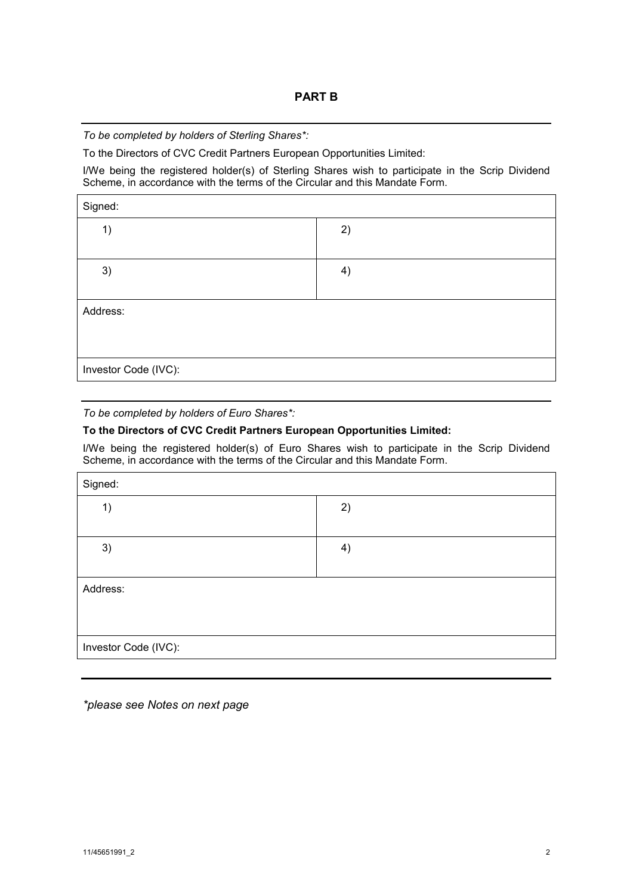*To be completed by holders of Sterling Shares\*:*

To the Directors of CVC Credit Partners European Opportunities Limited:

I/We being the registered holder(s) of Sterling Shares wish to participate in the Scrip Dividend Scheme, in accordance with the terms of the Circular and this Mandate Form.

| Signed:              |    |
|----------------------|----|
| 1)                   | 2) |
|                      |    |
| 3)                   | 4) |
|                      |    |
| Address:             |    |
|                      |    |
|                      |    |
| Investor Code (IVC): |    |

### *To be completed by holders of Euro Shares\*:*

## **To the Directors of CVC Credit Partners European Opportunities Limited:**

I/We being the registered holder(s) of Euro Shares wish to participate in the Scrip Dividend Scheme, in accordance with the terms of the Circular and this Mandate Form.

| Signed:              |    |
|----------------------|----|
| 1)                   | 2) |
|                      |    |
| 3)                   | 4) |
|                      |    |
| Address:             |    |
|                      |    |
|                      |    |
| Investor Code (IVC): |    |

*\*please see Notes on next page*